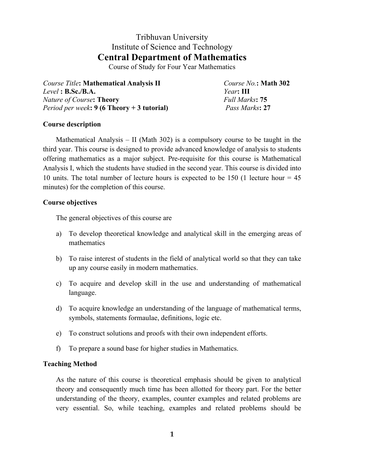# Tribhuvan University Institute of Science and Technology **Central Department of Mathematics**

Course of Study for Four Year Mathematics

*Course Title***: Mathematical Analysis II** *Course No.***: Math 302** *Level* **: B.Sc./B.A.** *Year***: III** *Nature of Course***: Theory** *Full Marks***: 75** *Period per week***: 9 (6 Theory + 3 tutorial)** *Pass Marks***: 27**

# **Course description**

Mathematical Analysis – II (Math 302) is a compulsory course to be taught in the third year. This course is designed to provide advanced knowledge of analysis to students offering mathematics as a major subject. Pre-requisite for this course is Mathematical Analysis I, which the students have studied in the second year. This course is divided into 10 units. The total number of lecture hours is expected to be 150 (1 lecture hour = 45 minutes) for the completion of this course.

# **Course objectives**

The general objectives of this course are

- a) To develop theoretical knowledge and analytical skill in the emerging areas of mathematics
- b) To raise interest of students in the field of analytical world so that they can take up any course easily in modern mathematics.
- c) To acquire and develop skill in the use and understanding of mathematical language.
- d) To acquire knowledge an understanding of the language of mathematical terms, symbols, statements formaulae, definitions, logic etc.
- e) To construct solutions and proofs with their own independent efforts.
- f) To prepare a sound base for higher studies in Mathematics.

# **Teaching Method**

As the nature of this course is theoretical emphasis should be given to analytical theory and consequently much time has been allotted for theory part. For the better understanding of the theory, examples, counter examples and related problems are very essential. So, while teaching, examples and related problems should be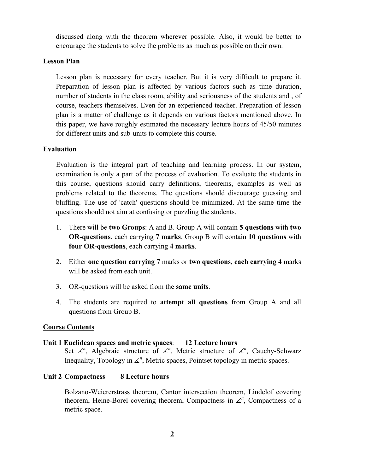discussed along with the theorem wherever possible. Also, it would be better to encourage the students to solve the problems as much as possible on their own.

# **Lesson Plan**

Lesson plan is necessary for every teacher. But it is very difficult to prepare it. Preparation of lesson plan is affected by various factors such as time duration, number of students in the class room, ability and seriousness of the students and , of course, teachers themselves. Even for an experienced teacher. Preparation of lesson plan is a matter of challenge as it depends on various factors mentioned above. In this paper, we have roughly estimated the necessary lecture hours of 45/50 minutes for different units and sub-units to complete this course.

# **Evaluation**

Evaluation is the integral part of teaching and learning process. In our system, examination is only a part of the process of evaluation. To evaluate the students in this course, questions should carry definitions, theorems, examples as well as problems related to the theorems. The questions should discourage guessing and bluffing. The use of 'catch' questions should be minimized. At the same time the questions should not aim at confusing or puzzling the students.

- 1. There will be **two Groups**: A and B. Group A will contain **5 questions** with **two OR-questions**, each carrying **7 marks**. Group B will contain **10 questions** with **four OR-questions**, each carrying **4 marks**.
- 2. Either **one question carrying 7** marks or **two questions, each carrying 4** marks will be asked from each unit.
- 3. OR-questions will be asked from the **same units**.
- 4. The students are required to **attempt all questions** from Group A and all questions from Group B.

# **Course Contents**

# **Unit 1 Euclidean spaces and metric spaces**: **12 Lecture hours**

Set  $\measuredangle^n$ , Algebraic structure of  $\measuredangle^n$ , Metric structure of  $\measuredangle^n$ , Cauchy-Schwarz Inequality, Topology in  $\angle^{n}$ , Metric spaces, Pointset topology in metric spaces.

# **Unit 2 Compactness 8 Lecture hours**

Bolzano-Weiererstrass theorem, Cantor intersection theorem, Lindelof covering theorem, Heine-Borel covering theorem, Compactness in  $\angle$ <sup>n</sup>, Compactness of a metric space.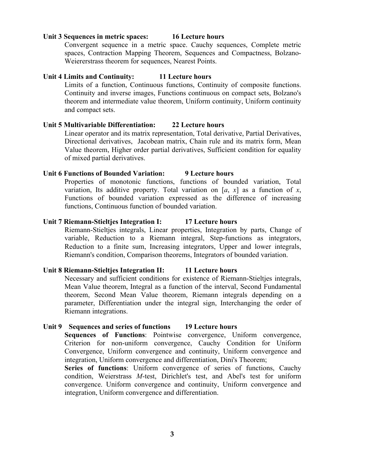#### **Unit 3 Sequences in metric spaces: 16 Lecture hours**

Convergent sequence in a metric space. Cauchy sequences, Complete metric spaces, Contraction Mapping Theorem, Sequences and Compactness, Bolzano-Weiererstrass theorem for sequences, Nearest Points.

### **Unit 4 Limits and Continuity: 11 Lecture hours**

Limits of a function, Continuous functions, Continuity of composite functions. Continuity and inverse images, Functions continuous on compact sets, Bolzano's theorem and intermediate value theorem, Uniform continuity, Uniform continuity and compact sets.

# **Unit 5 Multivariable Differentiation: 22 Lecture hours**

Linear operator and its matrix representation, Total derivative, Partial Derivatives, Directional derivatives, Jacobean matrix, Chain rule and its matrix form, Mean Value theorem, Higher order partial derivatives, Sufficient condition for equality of mixed partial derivatives.

### **Unit 6 Functions of Bounded Variation: 9 Lecture hours**

Properties of monotonic functions, functions of bounded variation, Total variation, Its additive property. Total variation on [ $a$ ,  $x$ ] as a function of  $x$ , Functions of bounded variation expressed as the difference of increasing functions, Continuous function of bounded variation.

### **Unit 7 Riemann-Stieltjes Integration I: 17 Lecture hours**

Riemann-Stieltjes integrals, Linear properties, Integration by parts, Change of variable, Reduction to a Riemann integral, Step-functions as integrators, Reduction to a finite sum, Increasing integrators, Upper and lower integrals, Riemann's condition, Comparison theorems, Integrators of bounded variation.

### **Unit 8 Riemann-Stieltjes Integration II: 11 Lecture hours**

Necessary and sufficient conditions for existence of Riemann-Stieltjes integrals, Mean Value theorem, Integral as a function of the interval, Second Fundamental theorem, Second Mean Value theorem, Riemann integrals depending on a parameter, Differentiation under the integral sign, Interchanging the order of Riemann integrations.

### **Unit 9 Sequences and series of functions 19 Lecture hours**

**Sequences of Functions**: Pointwise convergence, Uniform convergence, Criterion for non-uniform convergence, Cauchy Condition for Uniform Convergence, Uniform convergence and continuity, Uniform convergence and integration, Uniform convergence and differentiation, Dini's Theorem;

**Series of functions**: Uniform convergence of series of functions, Cauchy condition, Weierstrass *M*-test, Dirichlet's test, and Abel's test for uniform convergence. Uniform convergence and continuity, Uniform convergence and integration, Uniform convergence and differentiation.